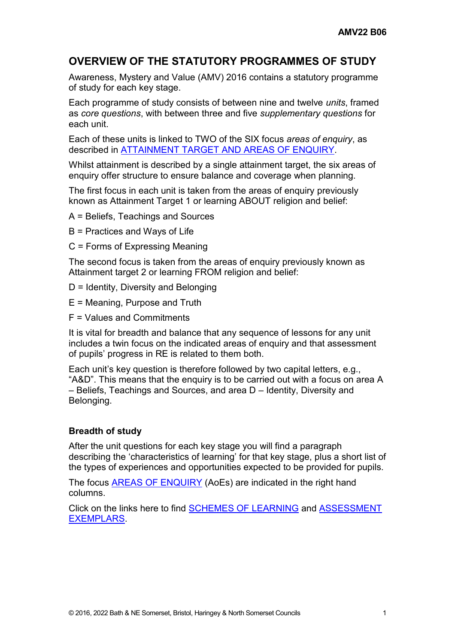### **OVERVIEW OF THE STATUTORY PROGRAMMES OF STUDY**

Awareness, Mystery and Value (AMV) 2016 contains a statutory programme of study for each key stage.

Each programme of study consists of between nine and twelve *units*, framed as *core questions*, with between three and five *supplementary questions* for each unit.

Each of these units is linked to TWO of the SIX focus *areas of enquiry*, as described in [ATTAINMENT TARGET AND AREAS OF ENQUIRY.](http://www.awarenessmysteryvalue.org/2016/b02-attainment-target-and-areas-of-enquiry/)

Whilst attainment is described by a single attainment target, the six areas of enquiry offer structure to ensure balance and coverage when planning.

The first focus in each unit is taken from the areas of enquiry previously known as Attainment Target 1 or learning ABOUT religion and belief:

A = Beliefs, Teachings and Sources

B = Practices and Ways of Life

C = Forms of Expressing Meaning

The second focus is taken from the areas of enquiry previously known as Attainment target 2 or learning FROM religion and belief:

- D = Identity, Diversity and Belonging
- E = Meaning, Purpose and Truth
- F = Values and Commitments

It is vital for breadth and balance that any sequence of lessons for any unit includes a twin focus on the indicated areas of enquiry and that assessment of pupils' progress in RE is related to them both.

Each unit's key question is therefore followed by two capital letters, e.g., "A&D". This means that the enquiry is to be carried out with a focus on area A – Beliefs, Teachings and Sources, and area D – Identity, Diversity and Belonging.

#### **Breadth of study**

After the unit questions for each key stage you will find a paragraph describing the 'characteristics of learning' for that key stage, plus a short list of the types of experiences and opportunities expected to be provided for pupils.

The focus [AREAS OF ENQUIRY](http://www.awarenessmysteryvalue.org/2016/b02-attainment-target-and-areas-of-enquiry/) (AoEs) are indicated in the right hand columns.

Click on the links here to find [SCHEMES OF LEARNING](http://www.awarenessmysteryvalue.org/2016/c01-exemplars-schemes-of-learning-introduction/) and [ASSESSMENT](http://www.awarenessmysteryvalue.org/2016/e01-exemplars-introduction-to-the-assessment-exemplars/)  [EXEMPLARS.](http://www.awarenessmysteryvalue.org/2016/e01-exemplars-introduction-to-the-assessment-exemplars/)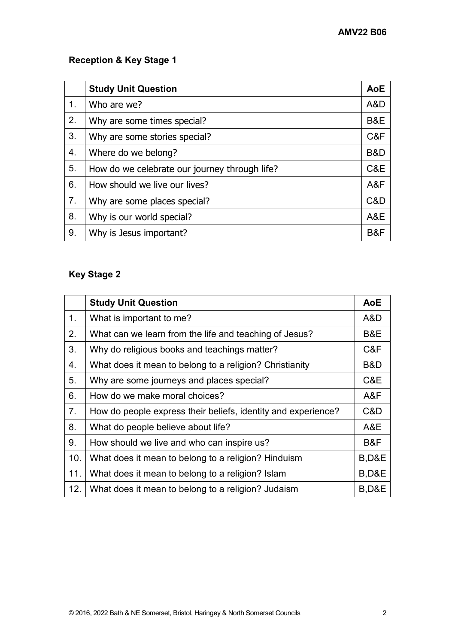# **Reception & Key Stage 1**

|    | <b>Study Unit Question</b>                    | <b>AoE</b> |
|----|-----------------------------------------------|------------|
| 1. | Who are we?                                   | A&D        |
| 2. | Why are some times special?                   | B&E        |
| 3. | Why are some stories special?                 | C&F        |
| 4. | Where do we belong?                           | B&D        |
| 5. | How do we celebrate our journey through life? | C&E        |
| 6. | How should we live our lives?                 | A&F        |
| 7. | Why are some places special?                  | C&D        |
| 8. | Why is our world special?                     | A&E        |
| 9. | Why is Jesus important?                       | B&F        |

# **Key Stage 2**

|     | <b>Study Unit Question</b>                                    | <b>AoE</b>       |
|-----|---------------------------------------------------------------|------------------|
| 1.  | What is important to me?                                      | A&D              |
| 2.  | What can we learn from the life and teaching of Jesus?        | B&E              |
| 3.  | Why do religious books and teachings matter?                  | C&F              |
| 4.  | What does it mean to belong to a religion? Christianity       | B&D              |
| 5.  | Why are some journeys and places special?                     | C&E              |
| 6.  | How do we make moral choices?                                 | A&F              |
| 7.  | How do people express their beliefs, identity and experience? | C&D              |
| 8.  | What do people believe about life?                            | A&E              |
| 9.  | How should we live and who can inspire us?                    | B&F              |
| 10. | What does it mean to belong to a religion? Hinduism           | B,D&E            |
| 11. | What does it mean to belong to a religion? Islam              | <b>B,D&amp;E</b> |
| 12. | What does it mean to belong to a religion? Judaism            | <b>B,D&amp;E</b> |